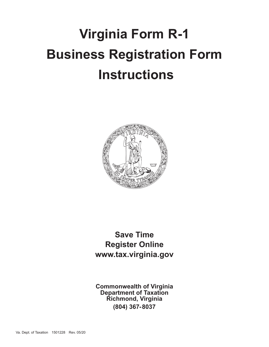# **Virginia Form R-1 Business Registration Form Instructions**



**Save Time Register Online www.tax.virginia.gov**

**Commonwealth of Virginia Department of Taxation Richmond, Virginia (804) 367-8037**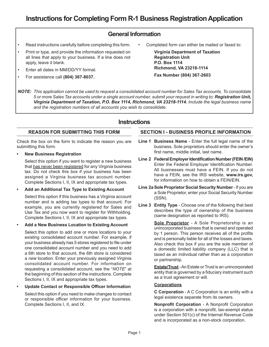# **General Information**

- Read instructions carefully before completing this form.
- Print or type, and provide the information requested on all lines that apply to your business. If a line does not apply, leave it blank.
- Enter all dates in MM/DD/YY format.
- For assistance call **(804) 367-8037.**

Completed form can either be mailed or faxed to:

**Virginia Department of Taxation Registration Unit P.O. Box 1114 Richmond, VA 23218-1114 Fax Number (804) 367-2603**

*NOTE: This application cannot be used to request a consolidated account number for Sales Tax accounts. To consolidate 5 or more Sales Tax accounts under a single account number, submit your request in writing to: Registration Unit, Virginia Department of Taxation, P.O. Box 1114, Richmond, VA 23218-1114. Include the legal business name and the registration numbers of all accounts you wish to consolidate.*

# **Instructions**

# **REASON FOR SUBMITTING THIS FORM**

Check the box on the form to indicate the reason you are submitting this form.

**• New Business Registration**

Select this option if you want to register a new business that has never been registered for any Virginia business tax. Do not check this box if your business has been assigned a Virginia business tax account number. Complete Sections I, II, IX and appropriate tax types.

**• Add an Additional Tax Type to Existing Account**

Select this option if this business has a Virginia account number and is adding tax types to that account. For example, you are currently registered for Sales and Use Tax and you now want to register for Withholding. Complete Sections I, II, IX and appropriate tax types.

# **• Add a New Business Location to Existing Account**

Select this option to add one or more locations to your existing consolidated account number. For example, if your business already has 5 stores registered to file under one consolidated account number and you need to add a 6th store to that account, the 6th store is considered a *new* location. Enter your previously assigned Virginia consolidated account number. For information on requesting a consolidated account, see the "*NOTE*" at the beginning of this section of the instructions. Complete Sections I, II, IX and appropriate tax types.

# **• Update Contact or Responsible Officer Information**

Select this option if you need to make changes to contact or responsible officer information for your business. Complete Sections I, II, and IX.

# **SECTION I - BUSINESS PROFILE INFORMATION**

- **Line 1 Business Name** Enter the full legal name of the business. Sole proprietors should enter the owner's first name, middle initial, last name.
- **Line 2 Federal Employer Identification Number (FEIN /EIN)**  Enter the Federal Employer Identification Number. All businesses must have a FEIN. If you do not have a FEIN, see the IRS website, **www.irs.gov,** for information on how to obtain a FEIN/EIN.
- **Line 2aSole Proprietor Social Security Number**  If you are a Sole Proprietor, enter your Social Security Number (SSN).
- **Line 3 Entity Type**  Choose one of the following that best describes the type of ownership of the business (same designation as reported to IRS).

**Sole Proprietor** - A Sole Proprietorship is an unincorporated business that is owned and operated by 1 person. This person receives all of the profits and is personally liable for all of the losses and taxes. Also check this box if you are the sole member of a domestic limited liability company (LLC) that is taxed as an individual rather than as a corporation or partnership.

**Estate/Trust** - An Estate or Trust is an unincorporated entity that is governed by a fiduciary instrument such as a trust agreement or will.

# **Corporations**

**C Corporation** - A C Corporation is an entity with a legal existence separate from its owners.

**Nonprofit Corporation** - A Nonprofit Corporation is a corporation with a nonprofit, tax-exempt status under Section 501(c) of the Internal Revenue Code and is incorporated as a non-stock corporation.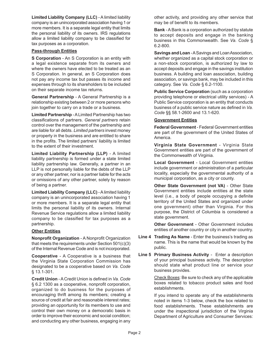**Limited Liability Company (LLC)** - A limited liability company is an unincorporated association having 1 or more members. It is a separate legal entity that limits the personal liability of its owners. IRS regulations allow a limited liability company to be classified for tax purposes as a corporation.

# **Pass-through Entities**

**S Corporation** - An S Corporation is an entity with a legal existence separate from its owners and where the owners have elected to be treated as an S Corporation. In general, an S Corporation does not pay any income tax but passes its income and expenses through to its shareholders to be included on their separate income tax returns.

**General Partnership** - A General Partnership is a relationship existing between 2 or more persons who join together to carry on a trade or a business.

**Limited Partnership** - A Limited Partnership has two classifications of partners. *General partners* retain control over the management of the partnership and are liable for all debts. *Limited partners* invest money or property in the business and are entitled to share in the profits. The limited partners' liability is limited to the extent of their investment.

**Limited Liability Partnership (LLP)** - A limited liability partnership is formed under a state limited liability partnership law. Generally, a partner in an LLP is not personally liable for the debts of the LLP or any other partner, nor is a partner liable for the acts or omissions of any other partner, solely by reason of being a partner.

**Limited Liability Company (LLC)** - A limited liability company is an unincorporated association having 1 or more members. It is a separate legal entity that limits the personal liability of its owners. Internal Revenue Service regulations allow a limited liability company to be classified for tax purposes as a partnership.

# **Other Entities**

**Nonprofit Organization** - A Nonprofit Organization that meets the requirements under Section 501(c)(3) of the Internal Revenue Code and is not incorporated.

**Cooperative** - A Cooperative is a business that the Virginia State Corporation Commission has designated to be a cooperative based on *Va. Code* § 13.1‑301.

**Credit Union** - A Credit Union is defined in *Va. Code* § 6.2 1300 as a cooperative, nonprofit corporation, organized to do business for the purposes of encouraging thrift among its members; creating a source of credit at fair and reasonable interest rates; providing an opportunity for its members to use and control their own money on a democratic basis in order to improve their economic and social condition; and conducting any other business, engaging in any

other activity, and providing any other service that may be of benefit to its members.

**Bank** - A Bank is a corporation authorized by statute to accept deposits and engage in the banking business in this Commonwealth. See *Va. Code* § 6.2-800.

**Savings and Loan** - A Savings and Loan Association, whether organized as a capital stock corporation or a non-stock corporation, is authorized by law to accept deposits and engage in the savings institution business. A building and loan association, building association, or savings bank, may be included in this category. See *Va. Code* § 6.2-1100.

**Public Service Corporation** (such as a corporation providing telephone or electrical utility services) - A Public Service corporation is an entity that conducts business of a public service nature as defined in *Va. Code* §§ 58.1-2600 and 13.1-620.

# **Government Entities**

**Federal Government** - Federal Government entities are part of the government of the United States of America.

**Virginia State Government** - Virginia State Government entities are part of the government of the Commonwealth of Virginia.

**Local Government** - Local Government entities include government or administration of a particular locality, especially the governmental authority of a municipal corporation, as a city or county.

**Other State Government (not VA)** - Other State Government entities include entities at the state level (i.e., a body of people occupying a definite territory of the United States and organized under one government) other than Virginia. For this purpose, the District of Columbia is considered a state government.

**Other Government** - Other Government includes entities of another country or city in another country.

- **Line 4 Trading As Name** Enter the business's trading as name. This is the name that would be known by the public.
- **Line 5 Primary Business Activity** Enter a description of your principal business activity. The description should state what product line or service your business provides.

Check Boxes: Be sure to check any of the applicable boxes related to tobacco product sales and food establishments.

If you intend to operate any of the establishments noted in items 1-3 below, check the box related to food establishments. These establishments are under the inspectional jurisdiction of the Virginia Department of Agriculture and Consumer Services: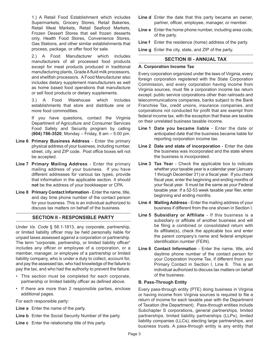1.) A Retail Food Establishment which includes Supermarkets, Grocery Stores, Retail Bakeries, Retail Meat Markets, Retail Seafood Markets, Frozen Dessert Stores that sell frozen desserts only, Health Food Stores, Convenience Stores, Gas Stations, and other similar establishments that process, package, or offer food for sale.

2.) A Food Manufacturer which includes manufacturers of all processed food products except for meat products produced in traditional manufacturing plants, Grade A fluid milk processors, and shellfish processors. A Food Manufacturer also includes dietary supplement manufacturers as well as home based food operations that manufacture or sell food products or dietary supplements.

3.) A Food Warehouse which includes establishments that store and distribute one or more food commodities.

If you have questions, contact the Virginia Department of Agriculture and Consumer Services Food Safety and Security program by calling **(804) 786-3520**, Monday – Friday, 8 am – 5:00 pm.

- **Line 6 Primary Business Address** Enter the primary physical address of your business, including number, street, city, and ZIP code. Post office boxes will not be accepted.
- **Line 7 Primary Mailing Address** Enter the primary mailing address of your business. If you have different addresses for various tax types, provide that information in the applicable section. It should **not** be the address of your bookkeeper or CPA.
- **Line 8 Primary Contact Information** Enter the name, title, and day time phone number of the contact person for your business. This is an individual authorized to discuss tax matters on behalf of the business.

# **SECTION II - RESPONSIBLE PARTY**

Under *Va. Code* § 58.1-1813, any corporate, partnership, or limited liability officer may be held personally liable for unpaid taxes assessed against a corporation or partnership. The term "corporate, partnership, or limited liability officer" includes any officer or employee of a corporation, or a member, manager, or employee of a partnership or limited liability company, who is under a duty to collect, account for, and pay the assessed tax, who had knowledge of the failure to pay the tax, and who had the authority to prevent the failure.

- This section must be completed for each corporate, partnership or limited liability officer as defined above.
- If there are more than 2 responsible parties, enclose additional pages.

For each responsible party:

- **Line a** Enter the name of the party.
- **Line b** Enter the Social Security Number of the party.
- **Line c** Enter the relationship title of this party.
- **Line d** Enter the date that this party became an owner, partner, officer, employee, manager, or member.
- **Line e** Enter the home phone number, including area code, of the party.

**Line f** Enter the residence (home) address of the party.

**Line g** Enter the city, state, and ZIP of the party.

# **SECTION III - ANNUAL TAX**

# **A. Corporation Income Tax**

Every corporation organized under the laws of Virginia, every foreign corporation registered with the State Corporation Commission, and every corporation having income from Virginia sources, must file a corporation income tax return except: public service corporations other than railroads and telecommunications companies, banks subject to the Bank Franchise Tax, credit unions, insurance companies, and corporations not conducted for profit that are exempt from federal income tax, with the exception that these are taxable on their unrelated business taxable income.

- **Line 1 Date you became liable** Enter the date or anticipated date that the business became liable for reporting corporation income tax.
- **Line 2 Date and state of incorporation** Enter the date the business was incorporated and the state where the business is incorporated.
- **Line 3 Tax Year** Check the applicable box to indicate whether your taxable year is a calendar year (January 1 through December 31) or a fiscal year. If you check fiscal year, enter the beginning and ending months of your fiscal year. It must be the same as your Federal taxable year. If a 52-53 week taxable year filer, enter beginning and ending months.
- **Line 4 Mailing Address** Enter the mailing address of your business if different from the one shown in Section I.
- **Line 5 Subsidiary or Affiliate** If this business is a subsidiary or affiliate of another business and will be filing a combined or consolidated return with its affiliate(s), check the applicable box and enter the parent company's name and federal employer identification number (FEIN).
- **Line 6 Contact Information** Enter the name, title, and daytime phone number of the contact person for your Corporation Income Tax, if different from your Primary Contact in Section I, Line 8. This is an individual authorized to discuss tax matters on behalf of the business.

# **B. Pass-Through Entity**

Every pass-through entity (PTE) doing business in Virginia or having income from Virginia sources is required to file a return of income for each taxable year with the Department of Taxation (the Department). Pass-through entities include Subchapter S corporations, general partnerships, limited partnerships, limited liability partnerships (LLPs), limited liability companies (LLCs), electing large partnerships, and business trusts. A pass-through entity is any entity that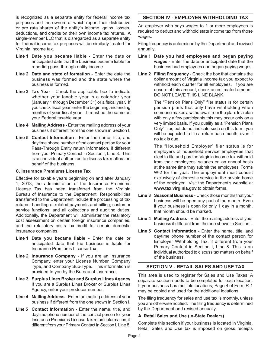is recognized as a separate entity for federal income tax purposes and the owners of which report their distributive or pro rata shares of the entity's income, gains, losses, deductions, and credits on their own income tax returns. A single-member LLC that is disregarded as a separate entity for federal income tax purposes will be similarly treated for Virginia income tax.

- **Line 1 Date you became liable** Enter the date or anticipated date that the business became liable for reporting pass-through entity income.
- **Line 2 Date and state of formation** Enter the date the business was formed and the state where the business is formed.
- **Line 3 Tax Year** Check the applicable box to indicate whether your taxable year is a calendar year (January 1 through December 31) or a fiscal year. If you check fiscal year, enter the beginning and ending months of your fiscal year. It must be the same as your Federal taxable year.
- **Line 4 Mailing Address** Enter the mailing address of your business if different from the one shown in Section I.
- **Line 5 Contact Information** Enter the name, title, and daytime phone number of the contact person for your Pass-Through Entity return information, if different from your Primary Contact in Section I, Line 8. This is an individual authorized to discuss tax matters on behalf of the business.

#### **C. Insurance Premiums License Tax**

Effective for taxable years beginning on and after January 1, 2013, the administration of the Insurance Premiums License Tax has been transferred from the Virginia Bureau of Insurance to the Department. Responsibilities transferred to the Department include the processing of tax returns; handling of related payments and billing; customer service functions; and all collections and auditing duties. Additionally, the Department will administer the retaliatory cost assessment on certain foreign insurance companies, and the retaliatory costs tax credit for certain domestic insurance companies.

- **Line 1 Date you became liable** Enter the date or anticipated date that the business is liable for Insurance Premiums License Tax.
- **Line 2 Insurance Company** If you are an Insurance Company, enter your License Number, Company Type, and Company Sub-Type. This information is provided to you by the Bureau of Insurance.
- **Line 3 Surplus Lines Broker and Surplus Lines Agency** If you are a Surplus Lines Broker or Surplus Lines Agency, enter your producer number.
- **Line 4 Mailing Address** Enter the mailing address of your business if different from the one shown in Section I.
- **Line 5 Contact Information** Enter the name, title, and daytime phone number of the contact person for your Insurance Premiums License Tax return information, if different from your Primary Contact in Section I, Line 8.

# **SECTION IV - EMPLOYER WITHHOLDING TAX**

An employer who pays wages to 1 or more employees is required to deduct and withhold state income tax from those wages.

Filing frequency is determined by the Department and revised annually.

- **Line 1 Date you had employees and began paying wages** - Enter the date or anticipated date that the business had employees and began paying wages.
- **Line 2 Filing Frequency** Check the box that contains the dollar amount of Virginia Income tax you expect to withhold each quarter for all employees. If you are unsure of this amount, check an estimated amount. DO NOT LEAVE THIS LINE BLANK.

The "Pension Plans Only" filer status is for certain pension plans that only have withholding when someone makes a withdrawal from the plan. In a plan with only a few participants this may occur only on a very limited basis. If you qualify as a "Pension Plans Only" filer, but do not indicate such on this form, you will be expected to file a return each month, even if no tax is due.

The "Household Employer" filer status is for employers of household service employees that elect to file and pay the Virginia income tax withheld from their employees' salaries on an annual basis at the same time they submit the employees' Forms W-2 for the year. The employment must consist exclusively of domestic service in the private home of the employer. Visit the Department's website at **www.tax.virginia.gov** to obtain forms.

- **Line 3 Seasonal Business** Check those months that your business will be open any part of the month. Even if your business is open for only 1 day in a month, that month should be marked.
- **Line 4 Mailing Address** Enter the mailing address of your business if different from the one shown in Section I.
- **Line 5 Contact Information** Enter the name, title, and daytime phone number of the contact person for Employer Withholding Tax, if different from your Primary Contact in Section I, Line 8. This is an individual authorized to discuss tax matters on behalf of the business.

# **SECTION V - RETAIL SALES AND USE TAX**

This area is used to register for Sales and Use Taxes. A separate section needs to be completed for each location. If your business has multiple locations, Page 4 of Form R-1 may be copied and used for the additional locations.

The filing frequency for sales and use tax is monthly, unless you are otherwise notified. The filing frequency is determined by the Department and revised annually.

# **A. Retail Sales and Use (In-State Dealers)**

Complete this section if your business is located in Virginia. Retail Sales and Use tax is imposed on gross receipts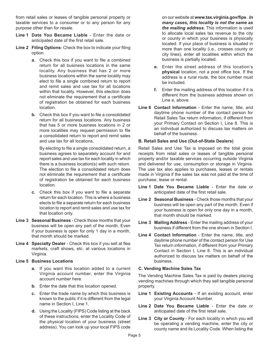from retail sales or leases of tangible personal property or taxable services to a consumer or to any person for any purpose other than for resale.

- **Line 1 Date You Became Liable** Enter the date or anticipated date of the first retail sale.
- **Line 2 Filing Options** Check the box to indicate your filing option
	- **a.** Check this box if you want to file a combined return for all business locations in the same locality. Any business that has 2 or more business locations within the same locality may elect to file a single combined return to report and remit sales and use tax for all locations within that locality. However, this election does not eliminate the requirement that a certificate of registration be obtained for each business location.
	- **b.** Check this box if you want to file a consolidated return for all business locations. Any business that has 5 or more business locations in 2 or more localities may request permission to file a consolidated return to report and remit sales and use tax for all locations.

By electing to file a single consolidated return, a business agrees to separately account for and report sales and use tax for each locality in which there is a business location(s) with such return. The election to file a consolidated return does not eliminate the requirement that a certificate of registration be obtained for each business location.

- **c.** Check this box if you want to file a separate return for each location. This is where a business elects to file a separate return for each business location to report and remit sales and use tax for that location only.
- **Line 3 Seasonal Business** Check those months that your business will be open any part of the month. Even if your business is open for only 1 day in a month, that month should be marked.
- **Line 4 Specialty Dealer** Check this box if you sell at flea markets, craft shows, etc. at various locations in Virginia.

# **Line 5 Business Locations**

- **a.** If you want this location added to a current Virginia account number, enter the Virginia account number here.
- **b.** Enter the date that this location opened.
- **c.** Enter the trade name by which this business is known to the public if it is different from the legal name in Section I, Line 1.
- **d.** Using the Locality (FIPS) Code listing at the back of these instructions, enter the Locality Code of the physical location of your business (street address). You can look up your local FIPS code

on our website at **www.tax.virginia.gov/fips**. *In many cases, this locality is not the same as the mailing address.* This information is used to allocate local sales tax revenue to the city or county in which your business is physically located. If your place of business is situated in more than one locality (i.e., crosses county or city lines), enter all localities within which the business is partially located.

- **e.** Enter the street address of this location's **physical** location, not a post office box. If the address is a rural route, the box number must be included.
- **f.** Enter the mailing address of this location if it is different from the business address shown on Line e, above.
- **Line 6 Contact Information** Enter the name, title, and daytime phone number of the contact person for Retail Sales Tax return information, if different from your Primary Contact on Section I, Line 8. This is an individual authorized to discuss tax matters on behalf of the business.

# **B. Retail Sales and Use (Out-of-State Dealers)**

Retail Sales and Use Tax is imposed on the total gross receipts from retail sales or leases of tangible personal property and/or taxable services occurring outside Virginia and delivered for use, consumption or storage in Virginia. The use tax also applies to purchases, leases or rentals made in Virginia if the sales tax was not paid at the time of purchase, lease or rental.

- **Line 1 Date You Became Liable** Enter the date or anticipated date of the first retail sale.
- **Line 2 Seasonal Business** Check those months that your business will be open any part of the month. Even if your business is open for only one day in a month, that month should be marked.
- **Line 3 Mailing Address** Enter the mailing address of your business if different from the one shown in Section I.
- **Line 4 Contact Information** Enter the name, title, and daytime phone number of the contact person for Use Tax return information, if different from your Primary Contact in Section I, Line 8. This is an individual authorized to discuss tax matters on behalf of the business.

# **C. Vending Machine Sales Tax**

The Vending Machine Sales Tax is paid by dealers placing vending machines through which they sell tangible personal property.

- **Line 1 Existing Accounts** If an existing account, enter your Virginia Account Number.
- **Line 2 Date You Became Liable** Enter the date or anticipated date of the first retail sale.
- **Line 3 City or County** For each locality in which you will be operating a vending machine, enter the city or county name and its Locality Code. When listing the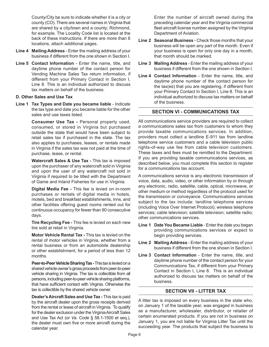County/City be sure to indicate whether it is a city or county (CO). There are several names in Virginia that are shared by a city/town and a county; Richmond, for example. The Locality Code list is located at the back of these instructions. If there are more than 6 locations, attach additional pages.

- **Line 4 Mailing Address** Enter the mailing address of your business if different from the one shown in Section I.
- **Line 5 Contact Information** Enter the name, title, and daytime phone number of the contact person for Vending Machine Sales Tax return information, if different from your Primary Contact in Section I, Line 8. This is an individual authorized to discuss tax matters on behalf of the business.

#### **D. Other Sales and Use Tax**

**Line 1 Tax Types and Date you became liable** - Indicate the tax type and date you became liable for the other sales and use taxes listed.

> **Consumer Use Tax -** Personal property used, consumed, or stored in Virginia but purchased outside the state that would have been subject to retail sales tax if purchased in the state. The tax also applies to purchases, leases, or rentals made in Virginia if the sales tax was not paid at the time of purchase, lease, or rental.

> **Watercraft Sales & Use Tax - This tax is imposed** upon the purchaser of any watercraft sold in Virginia and upon the user of any watercraft not sold in Virginia if required to be titled with the Department of Game and Inland Fisheries for use in Virginia.

> **Digital Media Fee -** This fee is levied on in-room purchases or rentals of digital media in hotels, motels, bed and breakfast establishments, inns, and other facilities offering guest rooms rented out for continuous occupancy for fewer than 90 consecutive days.

> **Tire Recycling Fee -** This fee is levied on each new tire sold at retail in Virginia.

> **Motor Vehicle Rental Tax -** This tax is levied on the rental of motor vehicles in Virginia, whether from a rental business or from an automobile dealership or other establishment, for a period of less than 12 months.

> **Peer-to-Peer Vehicle Sharing Tax - This tax is levied on a** shared vehicle owner's gross proceeds from peer-to-peer vehicle sharing in Virginia. The tax is collectible from all persons, including peer-to-peer vehicle sharing platforms, that have sufficient contact with Virginia. Otherwise the tax is collectible by the shared vehicle owner.

> **Dealer's Aircraft Sales and Use Tax -** This tax is paid by the aircraft dealer upon the gross receipts derived from the rental or lease of aircraft in Virginia. To qualify for the dealer exclusion under the Virginia Aircraft Sales and Use Tax Act (or *Va. Code* § 58.1-1500 et seq.), the dealer must own five or more aircraft during the calendar year.

Enter the number of aircraft owned during the preceding calendar year and the Virginia commercial fleet aircraft license number assigned by the Virginia Department of Aviation.

- **Line 2 Seasonal Business** Check those months that your business will be open any part of the month. Even if your business is open for only one day in a month, that month should be marked.
- **Line 3 Mailing Address** Enter the mailing address of your business if different from the one shown in Section I.
- **Line 4 Contact Information** Enter the name, title, and daytime phone number of the contact person for the tax(es) that you are registering, if different from your Primary Contact In Section I, Line 8. This is an individual authorized to discuss tax matters on behalf of the business.

# **SECTION VI - COMMUNICATIONS TAX**

All communications service providers are required to collect a communications sales tax from customers to whom they provide taxable communications services. In addition, providers must collect a landline E-911 tax from landline telephone service customers and a cable television public rights-of-way use fee from cable television customers. These taxes and fees must be remitted to the Department. If you are providing taxable communications services, as described below, you must complete this section to register for a communications tax account.

A communications service is any electronic transmission of voice, data, audio, video, or other information by or through any electronic, radio, satellite, cable, optical, microwave, or other medium or method regardless of the protocol used for the transmission or conveyance. Communications services subject to the tax include: landline telephone services (including Voice Over Internet Protocol); wireless telephone services; cable television; satellite television; satellite radio; other communications services.

- **Line 1 Date You Became Liable** Enter the date you began providing communications services or expect to begin providing services.
- **Line 2 Mailing Address** Enter the mailing address of your business if different from the one shown in Section I.
- **Line 3 Contact Information** Enter the name, title, and daytime phone number of the contact person for your Communications Tax, if different from your Primary Contact in Section I, Line 8. This is an individual authorized to discuss tax matters on behalf of the business.

# **SECTION VII - LITTER TAX**

A litter tax is imposed on every business in the state who, on January 1 of the taxable year, was engaged in business as a manufacturer, wholesaler, distributor, or retailer of certain enumerated products. If you are not in business on January 1, you are not liable for Virginia Litter Tax until the succeeding year. The products that subject the business to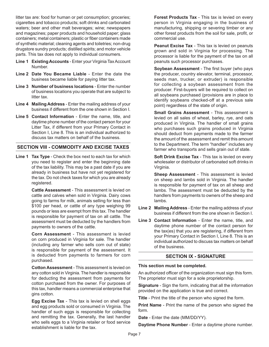litter tax are: food for human or pet consumption; groceries; cigarettes and tobacco products; soft drinks and carbonated waters; beer and other malt beverages; wine; newspapers and magazines; paper products and household paper; glass containers; metal containers; plastic or fiber containers made of synthetic material; cleaning agents and toiletries; non-drug drugstore sundry products; distilled spirits; and motor vehicle parts. This tax does not apply to individual consumers.

- **Line 1 Existing Accounts** Enter your Virginia Tax Account Number.
- **Line 2 Date You Became Liable** Enter the date the business became liable for paying litter tax.
- **Line 3 Number of business locations** Enter the number of business locations you operate that are subject to litter tax.
- **Line 4 Mailing Address** Enter the mailing address of your business if different from the one shown in Section I.
- **Line 5 Contact Information** Enter the name, title, and daytime phone number of the contact person for your Litter Tax, if different from your Primary Contact in Section I, Line 8. This is an individual authorized to discuss tax matters on behalf of the business.

# **SECTION VIII - COMMODITY AND EXCISE TAXES**

**Line 1 Tax Type** - Check the box next to each tax for which you need to register and enter the beginning date of the tax liability. This may be a past date if you are already in business but have not yet registered for the tax. Do not check taxes for which you are already registered.

> **Cattle Assessment** - This assessment is levied on cattle and calves when sold in Virginia. Dairy cows going to farms for milk, animals selling for less than \$100 per head, or cattle of any type weighing 99 pounds or less are exempt from this tax. The handler is responsible for payment of tax on all cattle. The assessment must be deducted by the handlers from payments to owners of the cattle.

> **Corn Assessment** - This assessment is levied on corn produced in Virginia for sale. The handler (including any farmer who sells corn out of state) is responsible for payment of the assessment. It is deducted from payments to farmers for corn purchased.

> **Cotton Assessment** - This assessment is levied on any cotton sold in Virginia. The handler is responsible for deducting the assessment from payments for cotton purchased from the owner. For purposes of this tax, handler means a commercial enterprise that gins cotton.

> **Egg Excise Tax** - This tax is levied on shell eggs and egg products sold or consumed in Virginia. The handler of such eggs is responsible for collecting and remitting the tax. Generally, the last handler who sells eggs to a Virginia retailer or food service establishment is liable for the tax.

**Forest Products Tax** - This tax is levied on every person in Virginia engaging in the business of manufacturing, shipping or severing timber or any other forest products from the soil for sale, profit, or commercial use.

**Peanut Excise Tax** - This tax is levied on peanuts grown and sold in Virginia for processing. The processor is liable for the payment of the tax on all peanuts such processor purchases.

**Soybean Assessment** - The first buyer (who pays the producer, country elevator, terminal, processor, seeds man, trucker, or extruder) is responsible for collecting a soybean assessment from the producer. First-buyers will be required to collect on all soybeans purchased (provisions are in place to identify soybeans checked-off at a previous sale point) regardless of the state of origin.

**Small Grains Assessment** - This assessment is levied on all sales of wheat, barley, rye, and oats produced in Virginia. The handler of small grains who purchases such grains produced in Virginia should deduct from payments made to the farmer the amount of the assessment and remit this amount to the Department. The term "handler" includes any farmer who transports and sells grain out of state.

**Soft Drink Excise Tax** - This tax is levied on every wholesaler or distributor of carbonated soft drinks in Virginia.

**Sheep Assessment** - This assessment is levied on sheep and lambs sold in Virginia. The handler is responsible for payment of tax on all sheep and lambs. The assessment must be deducted by the handlers from payments to owners of the sheep and lambs.

- **Line 2 Mailing Address** Enter the mailing address of your business if different from the one shown in Section I.
- **Line 3 Contact Information** Enter the name, title, and daytime phone number of the contact person for the tax(es) that you are registering, if different from your Primary Contact in Section I, Line 8. This is an individual authorized to discuss tax matters on behalf of the business.

# **SECTION IX - SIGNATURE**

#### **This section must be completed.**

An authorized officer of the organization must sign this form. The proprietor must sign for a sole proprietorship.

**Signature** - Sign the form, indicating that all the information provided on the application is true and correct.

**Title** - Print the title of the person who signed the form.

**Print Name** - Print the name of the person who signed the form.

**Date** - Enter the date (MM/DD/YY).

**Daytime Phone Number** - Enter a daytime phone number.